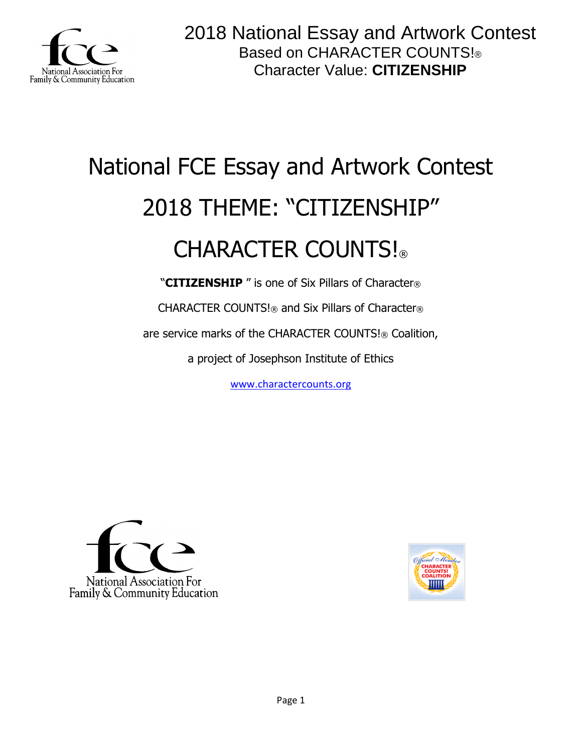

# National FCE Essay and Artwork Contest 2018 THEME: "CITIZENSHIP" CHARACTER COUNTS!

"**CITIZENSHIP** " is one of Six Pillars of Character®

CHARACTER COUNTS!® and Six Pillars of Character®

are service marks of the CHARACTER COUNTS!® Coalition,

a project of Josephson Institute of Ethics

[www.charactercounts.org](http://www.charactercounts.org/)



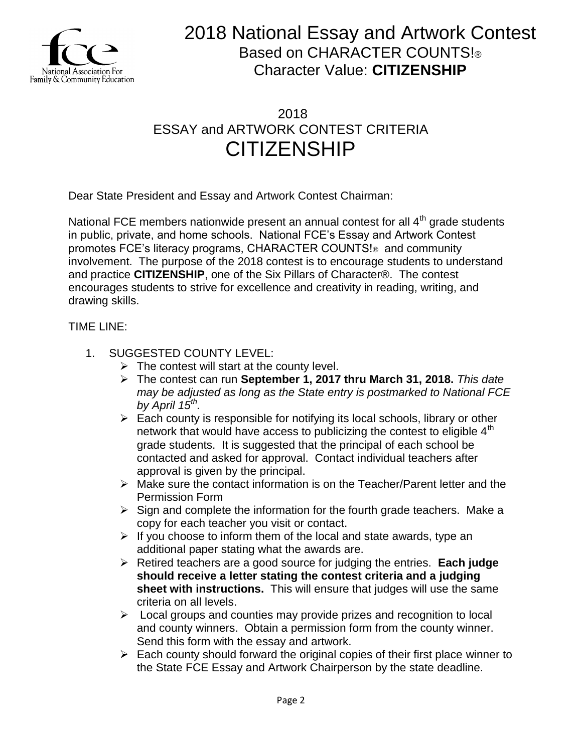

## 2018 ESSAY and ARTWORK CONTEST CRITERIA **CITIZENSHIP**

Dear State President and Essay and Artwork Contest Chairman:

National FCE members nationwide present an annual contest for all  $4<sup>th</sup>$  grade students in public, private, and home schools. National FCE's Essay and Artwork Contest promotes FCE's literacy programs, CHARACTER COUNTS!® and community involvement. The purpose of the 2018 contest is to encourage students to understand and practice **CITIZENSHIP**, one of the Six Pillars of Character®. The contest encourages students to strive for excellence and creativity in reading, writing, and drawing skills.

### TIME LINE:

- 1. SUGGESTED COUNTY LEVEL:
	- $\triangleright$  The contest will start at the county level.
	- The contest can run **September 1, 2017 thru March 31, 2018.** *This date may be adjusted as long as the State entry is postmarked to National FCE by April 15th .*
	- $\triangleright$  Each county is responsible for notifying its local schools, library or other network that would have access to publicizing the contest to eligible  $4<sup>th</sup>$ grade students. It is suggested that the principal of each school be contacted and asked for approval. Contact individual teachers after approval is given by the principal.
	- Make sure the contact information is on the Teacher/Parent letter and the Permission Form
	- $\triangleright$  Sign and complete the information for the fourth grade teachers. Make a copy for each teacher you visit or contact.
	- $\triangleright$  If you choose to inform them of the local and state awards, type an additional paper stating what the awards are.
	- Retired teachers are a good source for judging the entries. **Each judge should receive a letter stating the contest criteria and a judging sheet with instructions.** This will ensure that judges will use the same criteria on all levels.
	- $\triangleright$  Local groups and counties may provide prizes and recognition to local and county winners. Obtain a permission form from the county winner. Send this form with the essay and artwork.
	- $\triangleright$  Each county should forward the original copies of their first place winner to the State FCE Essay and Artwork Chairperson by the state deadline.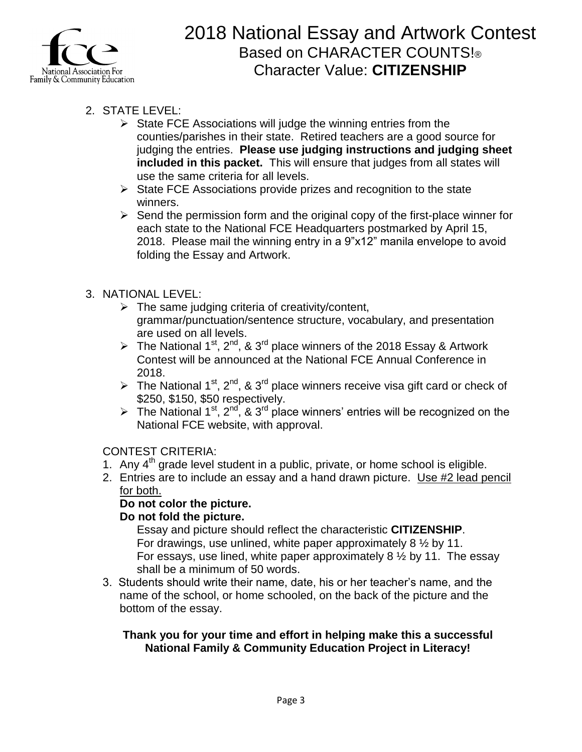

- 2. STATE LEVEL:
	- $\triangleright$  State FCE Associations will judge the winning entries from the counties/parishes in their state. Retired teachers are a good source for judging the entries. **Please use judging instructions and judging sheet included in this packet.** This will ensure that judges from all states will use the same criteria for all levels.
	- $\triangleright$  State FCE Associations provide prizes and recognition to the state winners.
	- $\triangleright$  Send the permission form and the original copy of the first-place winner for each state to the National FCE Headquarters postmarked by April 15, 2018. Please mail the winning entry in a 9"x12" manila envelope to avoid folding the Essay and Artwork.

### 3. NATIONAL LEVEL:

- $\triangleright$  The same judging criteria of creativity/content, grammar/punctuation/sentence structure, vocabulary, and presentation are used on all levels.
- The National 1<sup>st</sup>, 2<sup>nd</sup>, & 3<sup>rd</sup> place winners of the 2018 Essay & Artwork Contest will be announced at the National FCE Annual Conference in 2018.
- The National 1<sup>st</sup>, 2<sup>nd</sup>, & 3<sup>rd</sup> place winners receive visa gift card or check of \$250, \$150, \$50 respectively.
- The National 1<sup>st</sup>, 2<sup>nd</sup>, & 3<sup>rd</sup> place winners' entries will be recognized on the National FCE website, with approval.

### CONTEST CRITERIA:

- 1. Any  $4<sup>th</sup>$  grade level student in a public, private, or home school is eligible.
- 2. Entries are to include an essay and a hand drawn picture. Use #2 lead pencil for both.

### **Do not color the picture.**

### **Do not fold the picture.**

Essay and picture should reflect the characteristic **CITIZENSHIP**. For drawings, use unlined, white paper approximately 8 ½ by 11. For essays, use lined, white paper approximately 8 ½ by 11. The essay shall be a minimum of 50 words.

3. Students should write their name, date, his or her teacher's name, and the name of the school, or home schooled, on the back of the picture and the bottom of the essay.

### **Thank you for your time and effort in helping make this a successful National Family & Community Education Project in Literacy!**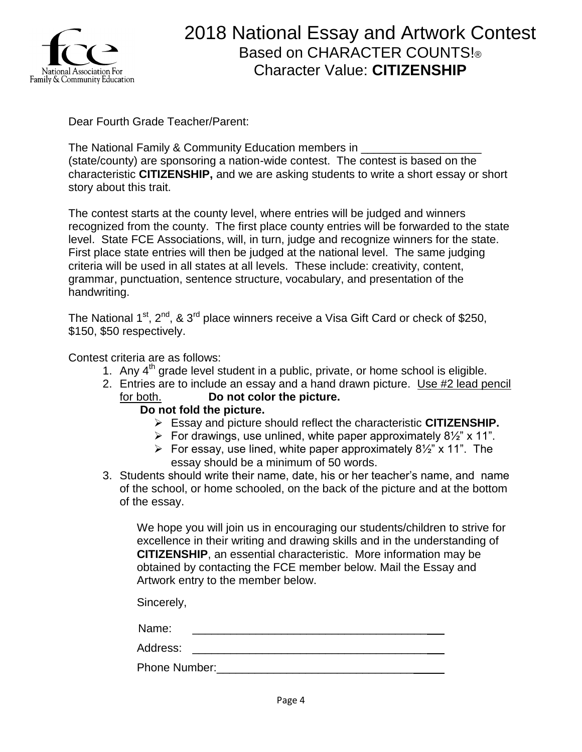

Dear Fourth Grade Teacher/Parent:

The National Family & Community Education members in (state/county) are sponsoring a nation-wide contest. The contest is based on the characteristic **CITIZENSHIP,** and we are asking students to write a short essay or short story about this trait.

The contest starts at the county level, where entries will be judged and winners recognized from the county. The first place county entries will be forwarded to the state level. State FCE Associations, will, in turn, judge and recognize winners for the state. First place state entries will then be judged at the national level. The same judging criteria will be used in all states at all levels. These include: creativity, content, grammar, punctuation, sentence structure, vocabulary, and presentation of the handwriting.

The National  $1<sup>st</sup>$ ,  $2<sup>nd</sup>$ , &  $3<sup>rd</sup>$  place winners receive a Visa Gift Card or check of \$250, \$150, \$50 respectively.

Contest criteria are as follows:

- 1. Any  $4<sup>th</sup>$  grade level student in a public, private, or home school is eligible.
- 2. Entries are to include an essay and a hand drawn picture. Use #2 lead pencil for both. **Do not color the picture.**

### **Do not fold the picture.**

- Essay and picture should reflect the characteristic **CITIZENSHIP.**
- For drawings, use unlined, white paper approximately  $8\frac{1}{2}$  x 11".
- For essay, use lined, white paper approximately  $8\frac{1}{2}$ " x 11". The essay should be a minimum of 50 words.
- 3. Students should write their name, date, his or her teacher's name, and name of the school, or home schooled, on the back of the picture and at the bottom of the essay.

We hope you will join us in encouraging our students/children to strive for excellence in their writing and drawing skills and in the understanding of **CITIZENSHIP**, an essential characteristic. More information may be obtained by contacting the FCE member below. Mail the Essay and Artwork entry to the member below.

Sincerely,

Name: \_\_\_\_\_\_\_\_\_\_\_\_\_\_\_\_\_\_\_\_\_\_\_\_\_\_\_\_\_\_\_\_\_\_\_\_\_

Address:

Phone Number:\_\_\_\_\_\_\_\_\_\_\_\_\_\_\_\_\_\_\_\_\_\_\_\_\_\_\_\_\_\_\_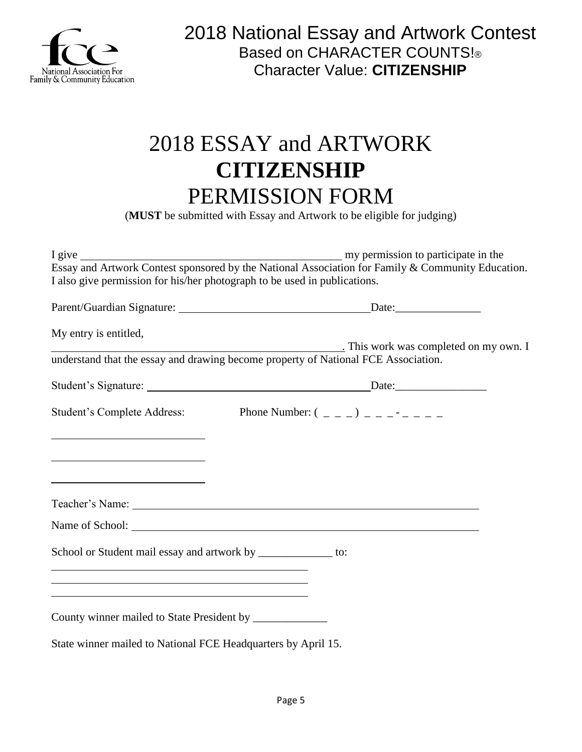

## 2018 ESSAY and ARTWORK **CITIZENSHIP**  PERMISSION FORM

(**MUST** be submitted with Essay and Artwork to be eligible for judging)

|                                                                                                                  | Essay and Artwork Contest sponsored by the National Association for Family & Community Education. |
|------------------------------------------------------------------------------------------------------------------|---------------------------------------------------------------------------------------------------|
| I also give permission for his/her photograph to be used in publications.                                        |                                                                                                   |
|                                                                                                                  |                                                                                                   |
| My entry is entitled,                                                                                            |                                                                                                   |
|                                                                                                                  | This work was completed on my own. I                                                              |
|                                                                                                                  | understand that the essay and drawing become property of National FCE Association.                |
|                                                                                                                  |                                                                                                   |
|                                                                                                                  | Student's Complete Address: Phone Number: $(2, 2)$                                                |
| <u> 1989 - Johann Barn, fransk politik (d. 1989)</u>                                                             |                                                                                                   |
| <u> 1989 - Johann Barbara, martxa alemaniar amerikan basar da a</u>                                              |                                                                                                   |
| <u> 1989 - Johann Barn, fransk politik fotograf (d. 1989)</u>                                                    |                                                                                                   |
|                                                                                                                  |                                                                                                   |
|                                                                                                                  |                                                                                                   |
|                                                                                                                  | Name of School:                                                                                   |
| School or Student mail essay and artwork by ______________ to:                                                   |                                                                                                   |
| and the control of the control of the control of the control of the control of the control of the control of the |                                                                                                   |
|                                                                                                                  |                                                                                                   |
| County winner mailed to State President by _______________                                                       |                                                                                                   |
| State winner mailed to National FCE Headquarters by April 15.                                                    |                                                                                                   |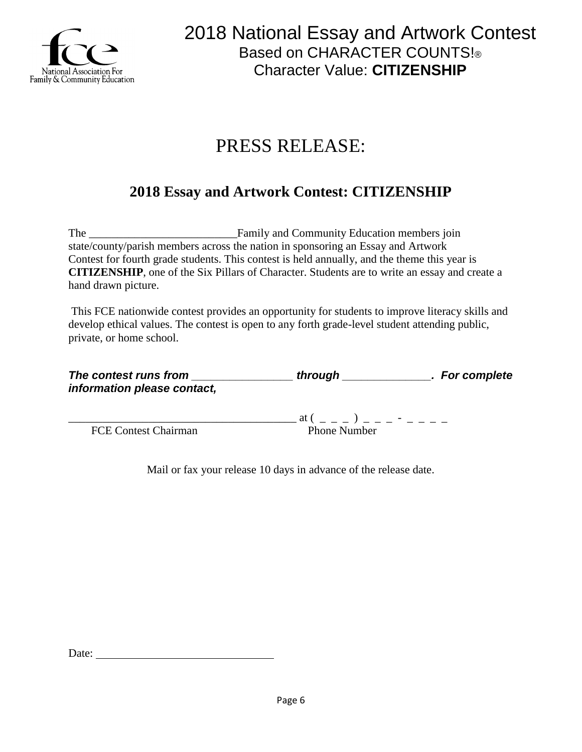

## PRESS RELEASE:

## **2018 Essay and Artwork Contest: CITIZENSHIP**

The \_\_\_\_\_\_\_\_\_\_\_\_\_\_\_\_\_\_\_\_\_\_\_\_\_\_Family and Community Education members join state/county/parish members across the nation in sponsoring an Essay and Artwork Contest for fourth grade students. This contest is held annually, and the theme this year is **CITIZENSHIP**, one of the Six Pillars of Character. Students are to write an essay and create a hand drawn picture.

This FCE nationwide contest provides an opportunity for students to improve literacy skills and develop ethical values. The contest is open to any forth grade-level student attending public, private, or home school.

| The contest runs from       | through             | . For complete |
|-----------------------------|---------------------|----------------|
| information please contact, |                     |                |
|                             | at (                |                |
| <b>FCE Contest Chairman</b> | <b>Phone Number</b> |                |

Mail or fax your release 10 days in advance of the release date.

Date: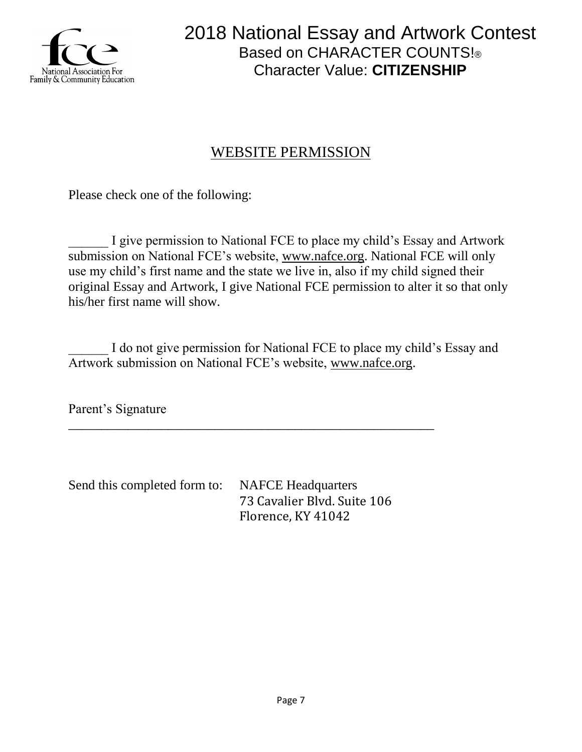

## WEBSITE PERMISSION

Please check one of the following:

I give permission to National FCE to place my child's Essay and Artwork submission on National FCE's website, [www.nafce.org.](http://www.nafce.org/) National FCE will only use my child's first name and the state we live in, also if my child signed their original Essay and Artwork, I give National FCE permission to alter it so that only his/her first name will show.

I do not give permission for National FCE to place my child's Essay and Artwork submission on National FCE's website, [www.nafce.org.](http://www.nafce.org/)

Parent's Signature

Send this completed form to: NAFCE Headquarters 73 Cavalier Blvd. Suite 106 Florence, KY 41042

\_\_\_\_\_\_\_\_\_\_\_\_\_\_\_\_\_\_\_\_\_\_\_\_\_\_\_\_\_\_\_\_\_\_\_\_\_\_\_\_\_\_\_\_\_\_\_\_\_\_\_\_\_\_\_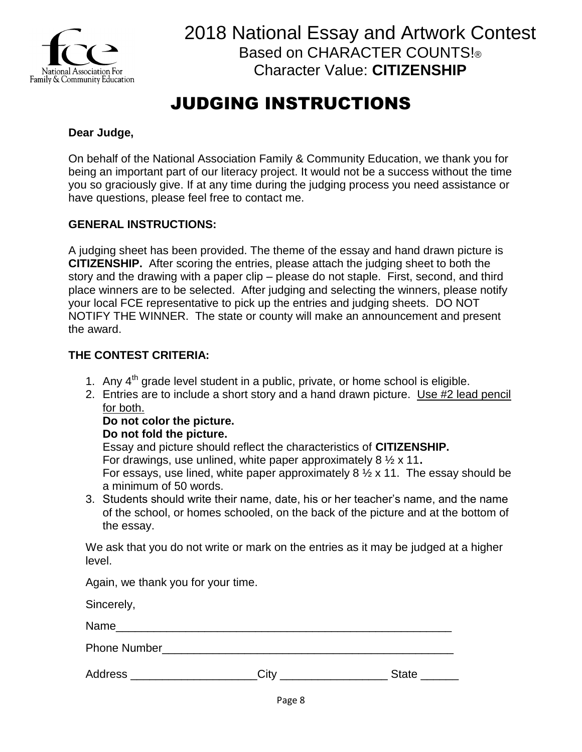

## JUDGING INSTRUCTIONS

### **Dear Judge,**

On behalf of the National Association Family & Community Education, we thank you for being an important part of our literacy project. It would not be a success without the time you so graciously give. If at any time during the judging process you need assistance or have questions, please feel free to contact me.

### **GENERAL INSTRUCTIONS:**

A judging sheet has been provided. The theme of the essay and hand drawn picture is **CITIZENSHIP.** After scoring the entries, please attach the judging sheet to both the story and the drawing with a paper clip – please do not staple. First, second, and third place winners are to be selected. After judging and selecting the winners, please notify your local FCE representative to pick up the entries and judging sheets. DO NOT NOTIFY THE WINNER. The state or county will make an announcement and present the award.

### **THE CONTEST CRITERIA:**

- 1. Any  $4<sup>th</sup>$  grade level student in a public, private, or home school is eligible.
- 2. Entries are to include a short story and a hand drawn picture. Use #2 lead pencil for both.

### **Do not color the picture.**

### **Do not fold the picture.**

Essay and picture should reflect the characteristics of **CITIZENSHIP.** For drawings, use unlined, white paper approximately 8 ½ x 11**.** For essays, use lined, white paper approximately  $8\frac{1}{2} \times 11$ . The essay should be a minimum of 50 words.

3. Students should write their name, date, his or her teacher's name, and the name of the school, or homes schooled, on the back of the picture and at the bottom of the essay.

We ask that you do not write or mark on the entries as it may be judged at a higher level.

Again, we thank you for your time.

Sincerely,

Name

Phone Number

Address **Example 20** City **Contract Contract Contract Contract Contract Contract Contract Contract Contract Contract Contract Contract Contract Contract Contract Contract Contract Contract Contract Contract Contract Contra**